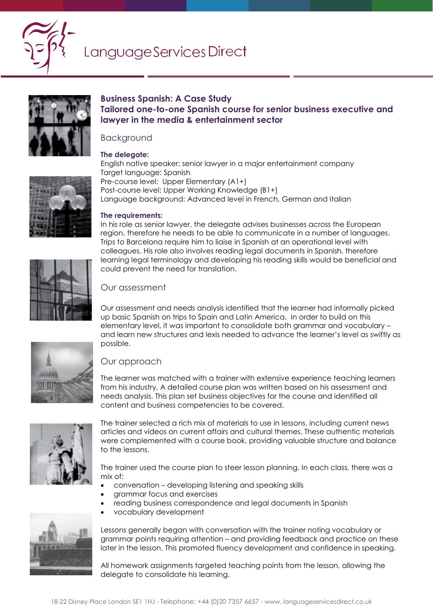

## Language Services Direct



## **Business Spanish: A Case Study Tailored one-to-one Spanish course for senior business executive and lawyer in the media & entertainment sector**

### Background

#### **The delegate:**



English native speaker; senior lawyer in a major entertainment company Target language: Spanish Pre-course level: Upper Elementary (A1+) Post-course level: Upper Working Knowledge (B1+) Language background: Advanced level in French, German and Italian

#### **The requirements:**

In his role as senior lawyer, the delegate advises businesses across the European region, therefore he needs to be able to communicate in a number of languages. Trips to Barcelona require him to liaise in Spanish at an operational level with colleagues. His role also involves reading legal documents in Spanish, therefore learning legal terminology and developing his reading skills would be beneficial and could prevent the need for translation.

## Our assessment

Our assessment and needs analysis identified that the learner had informally picked up basic Spanish on trips to Spain and Latin America. In order to build on this elementary level, it was important to consolidate both grammar and vocabulary – and learn new structures and lexis needed to advance the learner's level as swiftly as possible.

## Our approach

The learner was matched with a trainer with extensive experience teaching learners from his industry. A detailed course plan was written based on his assessment and needs analysis. This plan set business objectives for the course and identified all content and business competencies to be covered.



The trainer selected a rich mix of materials to use in lessons, including current news articles and videos on current affairs and cultural themes. These authentic materials were complemented with a course book, providing valuable structure and balance to the lessons.

The trainer used the course plan to steer lesson planning. In each class, there was a mix of:

- conversation developing listening and speaking skills
- grammar focus and exercises
- reading business correspondence and legal documents in Spanish
- vocabulary development



Lessons generally began with conversation with the trainer noting vocabulary or grammar points requiring attention – and providing feedback and practice on these later in the lesson. This promoted fluency development and confidence in speaking.

All homework assignments targeted teaching points from the lesson, allowing the delegate to consolidate his learning.